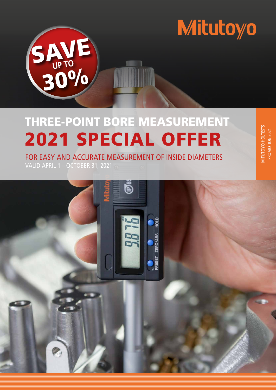

# THREE-POINT BORE MEASUREMENT 2021 SPECIAL OFFER

MITUTOYO HOLTESTS PROMOTION 2021

MITUTOYO HOLTESTS<br>PROMOTION 2021

FOR EASY AND ACCURATE MEASUREMENT OF INSIDE DIAMETERS VALID APRIL 1 – OCTOBER 31, 2021

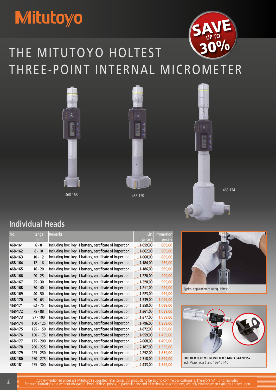# **Mitutoyo**



# THE MITUTOYO HOLTEST THREE-POINT INTERNAL MICROMETER







468-174

## **Individual Heads**

| No.     | Range       | Remarks                                                  | <b>List</b>      | Promotion   |
|---------|-------------|----------------------------------------------------------|------------------|-------------|
|         | [mm]        |                                                          | price $\epsilon$ | price $\in$ |
| 468-161 | $6 - 8$     | Including box, key, 1 battery, certificate of inspection | 1.059,00         | 869,00      |
| 468-162 | $8 - 10$    | Including box, key, 1 battery, certificate of inspection | 1.062,00         | 869,00      |
| 468-163 | $10 - 12$   | Including box, key, 1 battery, certificate of inspection | 1.060,00         | 869,00      |
| 468-164 | $12 - 16$   | Including box, key, 1 battery, certificate of inspection | 1.184,00         | 969,00      |
| 468-165 | $16 - 20$   | Including box, key, 1 battery, certificate of inspection | 1.186,00         | 969,00      |
| 468-166 | $20 - 25$   | Including box, key, 1 battery, certificate of inspection | 1.220,00         | 999,00      |
| 468-167 | $25 - 30$   | Including box, key, 1 battery, certificate of inspection | 1.220,00         | 999,00      |
| 468-168 | $30 - 40$   | Including box, key, 1 battery, certificate of inspection | 1.211,00         | 999,00      |
| 468-169 | $40 - 50$   | Including box, key, 1 battery, certificate of inspection | 1.223,00         | 999,00      |
| 468-170 | $50 - 63$   | Including box, key, 1 battery, certificate of inspection | 1.339,00         | 1.099,00    |
| 468-171 | $62 - 75$   | Including box, key, 1 battery, certificate of inspection | 1.350,00         | 1.099,00    |
| 468-172 | $75 - 88$   | Including box, key, 1 battery, certificate of inspection | 1.361,00         | 1.059,00    |
| 468-173 | $87 - 100$  | Including box, key, 1 battery, certificate of inspection | 1.377,00         | 1.059,00    |
| 468-174 | $100 - 125$ | Including box, key, 1 battery, certificate of inspection | 1.796,00         | 1.359,00    |
| 468-175 | 125 - 150   | Including box, key, 1 battery, certificate of inspection | 1.872,00         | 1.399,00    |
| 468-176 | 150 - 175   | Including box, key, 1 battery, certificate of inspection | 1.959,00         | 1.459,00    |
| 468-177 | $175 - 200$ | Including box, key, 1 battery, certificate of inspection | 2.068,00         | 1.499,00    |
| 468-178 | 200 - 225   | Including box, key, 1 battery, certificate of inspection | 2.187,00         | 1.559,00    |
| 468-179 | $225 - 250$ | Including box, key, 1 battery, certificate of inspection | 2.252,00         | 1.659,00    |
| 468-180 | 250 - 275   | Including box, key, 1 battery, certificate of inspection | 2.318,00         | 1.699,00    |
| 468-181 | 275 - 300   | Including box, key, 1 battery, certificate of inspection | 2.433,00         | 1.699,00    |



Typical application of using Holtest



**HOLDER FOR MICROMETER STAND 04AZB157** incl. Micrometer Stand 156-101-10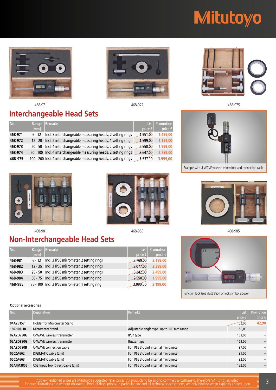# **Mitutoyo**





468-971 468-972 468-975

## **Interchangeable Head Sets**

| No.     | Range     | Remarks                                                            | List             | Promotion        |
|---------|-----------|--------------------------------------------------------------------|------------------|------------------|
|         | [mm]      |                                                                    | price $\epsilon$ | price $\epsilon$ |
| 468-971 | $6 - 12$  | Incl. 3 interchangeable measuring heads, 2 setting rings           | 1.951,00         | 1.459,00         |
| 468-972 | $12 - 20$ | Incl. 2 interchangeable measuring heads, 1 setting ring            | 1.599,00         | 1.199,00         |
| 468-973 | $20 - 50$ | Incl. 4 interchangeable measuring heads, 2 setting rings           | 2.550,00         | 1.999.00         |
| 468-974 |           | 50 - 100 Incl. 4 interchangeable measuring heads, 2 setting rings  | 3.647,00         | 2.759,00         |
| 468-975 |           | 100 - 200 Incl. 4 interchangeable measuring heads, 2 setting rings | 5.537,00         | 3.999,00         |



Example with U-WAVE wireless transmitter and connection cable





## **Non-Interchangeable Head Sets**

| No.     | Range | Remarks                                          | List        | Promotion        |
|---------|-------|--------------------------------------------------|-------------|------------------|
|         | [mm]  |                                                  | price $\in$ | price $\epsilon$ |
| 468-981 |       | 6 - 12 Incl. 3 IP65 micrometer, 2 setting rings  | 2.769,00    | 2.199,00         |
| 468-982 |       | 12 - 25 Incl. 3 IP65 micrometer, 2 setting rings | 3.077,00    | 2.399,00         |
| 468-983 |       | 25 - 50 Incl. 3 IP65 micrometer, 2 setting rings | 3.242,00    | 2.499,00         |
| 468-984 |       | 50 - 75 Incl. 2 IP65 micrometer, 1 setting ring  | 2.550,00    | 1.999,00         |
| 468-985 |       | 75 - 100 Incl. 2 IP65 micrometer, 1 setting ring | 3.090,00    | 2.199,00         |

# 468-981 468-983 468-985 **BO** BOTH

Function lock (see illustration of lock symbol above)

### **Optional accessories**

| No.        | Designation                        | <b>Remarks</b>                           | List             | Promotion |
|------------|------------------------------------|------------------------------------------|------------------|-----------|
|            |                                    |                                          | price $\epsilon$ | price €   |
| 04AZB157   | <b>Holder for Micrometer Stand</b> |                                          | 52,00            | 42,90     |
| 156-101-10 | Micrometer Stand                   | Adjustable angle type up to 100 mm range | 59,00            |           |
| 02AZD730G  | U-WAVE wireless transmitter        | IP67 type                                | 163,00           | -         |
| 02AZD880G  | U-WAVE wireless transmitter        | Buzzer type                              | 163,00           |           |
| 02AZD790B  | U-WAVE connection cable            | For IP65 3-point internal micrometer     | 97,00            |           |
| 05CZA662   | DIGIMATIC cable (2 m)              | For IP65 3-point internal micrometer     | 91,00            |           |
| 05CZA663   | DIGIMATIC cable (2 m)              | For IP65 3-point internal micrometer     | 92,00            |           |
| 06AFM380B  | USB Input Tool Direct Cable (2 m)  | For IP65 3-point internal micrometer     | 122,00           |           |